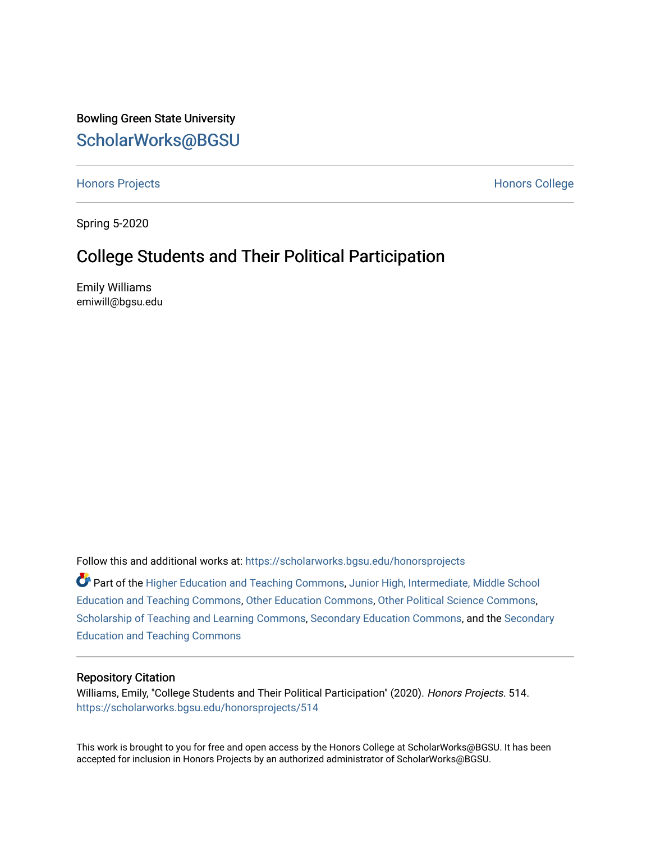Bowling Green State University [ScholarWorks@BGSU](https://scholarworks.bgsu.edu/) 

[Honors Projects](https://scholarworks.bgsu.edu/honorsprojects) **Honors** College **Honors** College **Honors** College

Spring 5-2020

# College Students and Their Political Participation

Emily Williams emiwill@bgsu.edu

Follow this and additional works at: [https://scholarworks.bgsu.edu/honorsprojects](https://scholarworks.bgsu.edu/honorsprojects?utm_source=scholarworks.bgsu.edu%2Fhonorsprojects%2F514&utm_medium=PDF&utm_campaign=PDFCoverPages) 

Part of the [Higher Education and Teaching Commons](http://network.bepress.com/hgg/discipline/806?utm_source=scholarworks.bgsu.edu%2Fhonorsprojects%2F514&utm_medium=PDF&utm_campaign=PDFCoverPages), [Junior High, Intermediate, Middle School](http://network.bepress.com/hgg/discipline/807?utm_source=scholarworks.bgsu.edu%2Fhonorsprojects%2F514&utm_medium=PDF&utm_campaign=PDFCoverPages)  [Education and Teaching Commons,](http://network.bepress.com/hgg/discipline/807?utm_source=scholarworks.bgsu.edu%2Fhonorsprojects%2F514&utm_medium=PDF&utm_campaign=PDFCoverPages) [Other Education Commons](http://network.bepress.com/hgg/discipline/811?utm_source=scholarworks.bgsu.edu%2Fhonorsprojects%2F514&utm_medium=PDF&utm_campaign=PDFCoverPages), [Other Political Science Commons](http://network.bepress.com/hgg/discipline/392?utm_source=scholarworks.bgsu.edu%2Fhonorsprojects%2F514&utm_medium=PDF&utm_campaign=PDFCoverPages), [Scholarship of Teaching and Learning Commons,](http://network.bepress.com/hgg/discipline/1328?utm_source=scholarworks.bgsu.edu%2Fhonorsprojects%2F514&utm_medium=PDF&utm_campaign=PDFCoverPages) [Secondary Education Commons](http://network.bepress.com/hgg/discipline/1382?utm_source=scholarworks.bgsu.edu%2Fhonorsprojects%2F514&utm_medium=PDF&utm_campaign=PDFCoverPages), and the [Secondary](http://network.bepress.com/hgg/discipline/809?utm_source=scholarworks.bgsu.edu%2Fhonorsprojects%2F514&utm_medium=PDF&utm_campaign=PDFCoverPages)  [Education and Teaching Commons](http://network.bepress.com/hgg/discipline/809?utm_source=scholarworks.bgsu.edu%2Fhonorsprojects%2F514&utm_medium=PDF&utm_campaign=PDFCoverPages) 

## Repository Citation

Williams, Emily, "College Students and Their Political Participation" (2020). Honors Projects. 514. [https://scholarworks.bgsu.edu/honorsprojects/514](https://scholarworks.bgsu.edu/honorsprojects/514?utm_source=scholarworks.bgsu.edu%2Fhonorsprojects%2F514&utm_medium=PDF&utm_campaign=PDFCoverPages) 

This work is brought to you for free and open access by the Honors College at ScholarWorks@BGSU. It has been accepted for inclusion in Honors Projects by an authorized administrator of ScholarWorks@BGSU.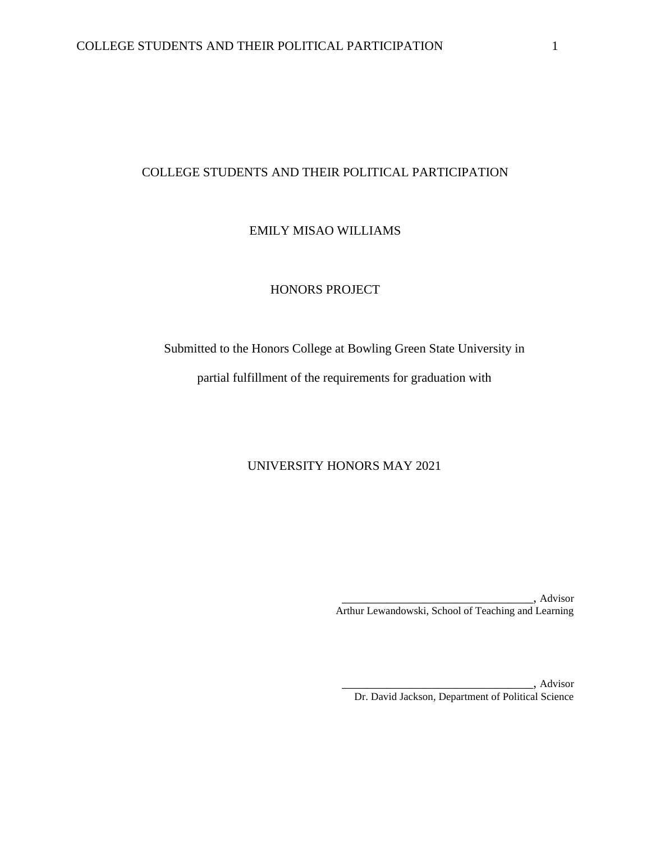# COLLEGE STUDENTS AND THEIR POLITICAL PARTICIPATION

# EMILY MISAO WILLIAMS

# HONORS PROJECT

Submitted to the Honors College at Bowling Green State University in

partial fulfillment of the requirements for graduation with

# UNIVERSITY HONORS MAY 2021

\_\_\_\_\_\_\_\_\_\_\_\_\_\_\_\_\_\_\_\_\_\_\_\_\_\_\_\_\_\_, Advisor Arthur Lewandowski, School of Teaching and Learning

\_\_\_\_\_\_\_\_\_\_\_\_\_\_\_\_\_\_\_\_\_\_\_\_\_\_\_\_\_\_, Advisor Dr. David Jackson, Department of Political Science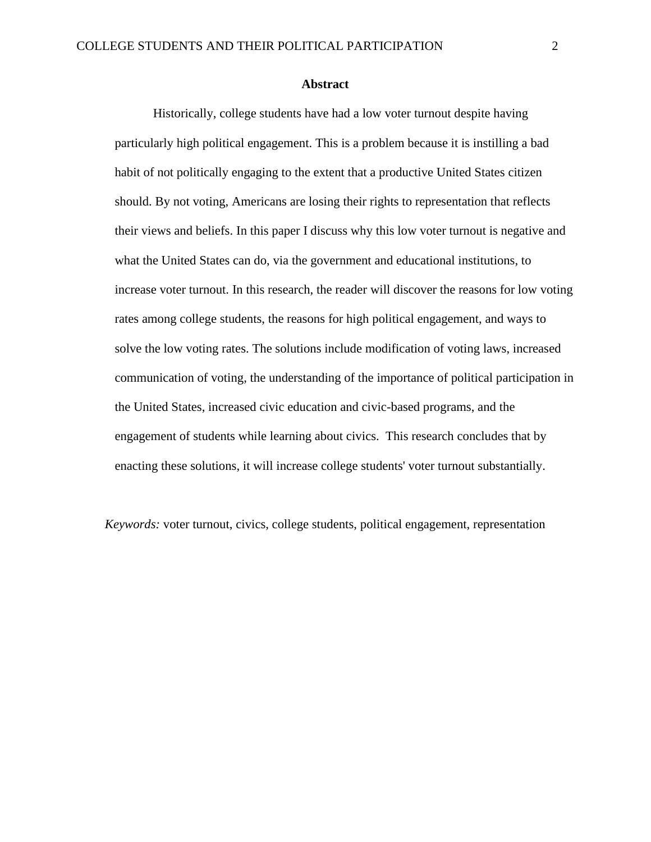#### **Abstract**

Historically, college students have had a low voter turnout despite having particularly high political engagement. This is a problem because it is instilling a bad habit of not politically engaging to the extent that a productive United States citizen should. By not voting, Americans are losing their rights to representation that reflects their views and beliefs. In this paper I discuss why this low voter turnout is negative and what the United States can do, via the government and educational institutions, to increase voter turnout. In this research, the reader will discover the reasons for low voting rates among college students, the reasons for high political engagement, and ways to solve the low voting rates. The solutions include modification of voting laws, increased communication of voting, the understanding of the importance of political participation in the United States, increased civic education and civic-based programs, and the engagement of students while learning about civics. This research concludes that by enacting these solutions, it will increase college students' voter turnout substantially.

*Keywords:* voter turnout, civics, college students, political engagement, representation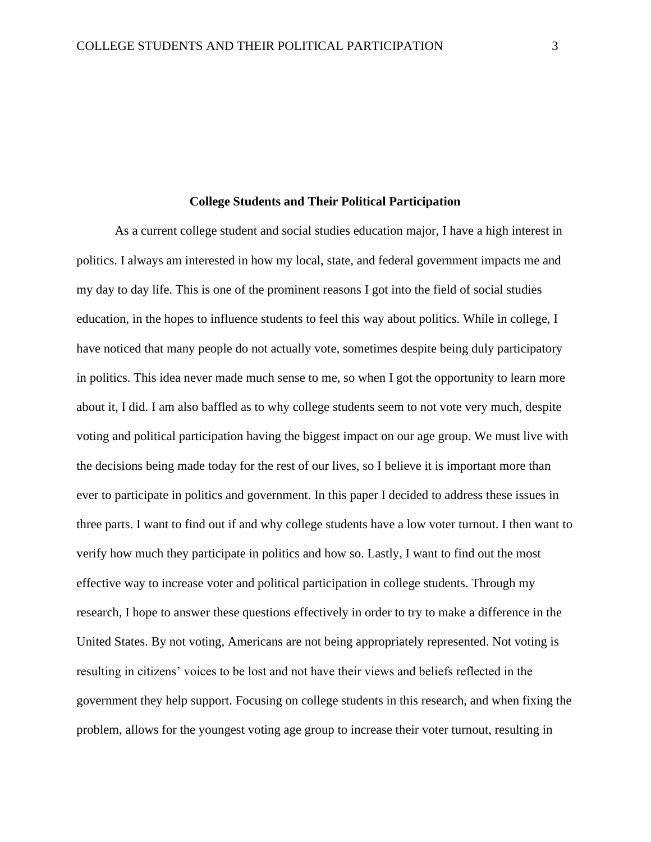#### **College Students and Their Political Participation**

As a current college student and social studies education major, I have a high interest in politics. I always am interested in how my local, state, and federal government impacts me and my day to day life. This is one of the prominent reasons I got into the field of social studies education, in the hopes to influence students to feel this way about politics. While in college, I have noticed that many people do not actually vote, sometimes despite being duly participatory in politics. This idea never made much sense to me, so when I got the opportunity to learn more about it, I did. I am also baffled as to why college students seem to not vote very much, despite voting and political participation having the biggest impact on our age group. We must live with the decisions being made today for the rest of our lives, so I believe it is important more than ever to participate in politics and government. In this paper I decided to address these issues in three parts. I want to find out if and why college students have a low voter turnout. I then want to verify how much they participate in politics and how so. Lastly, I want to find out the most effective way to increase voter and political participation in college students. Through my research, I hope to answer these questions effectively in order to try to make a difference in the United States. By not voting, Americans are not being appropriately represented. Not voting is resulting in citizens' voices to be lost and not have their views and beliefs reflected in the government they help support. Focusing on college students in this research, and when fixing the problem, allows for the youngest voting age group to increase their voter turnout, resulting in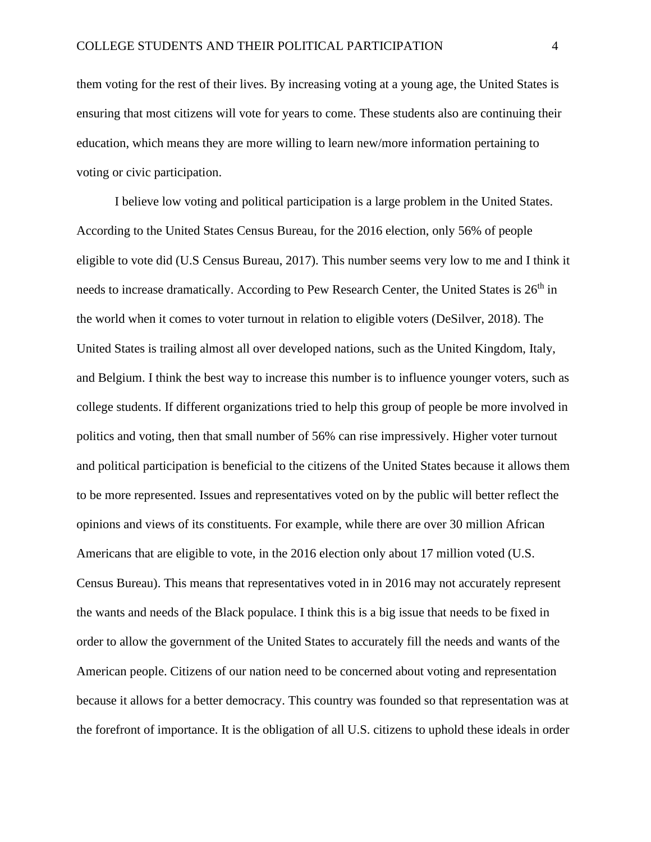them voting for the rest of their lives. By increasing voting at a young age, the United States is ensuring that most citizens will vote for years to come. These students also are continuing their education, which means they are more willing to learn new/more information pertaining to voting or civic participation.

I believe low voting and political participation is a large problem in the United States. According to the United States Census Bureau, for the 2016 election, only 56% of people eligible to vote did (U.S Census Bureau, 2017). This number seems very low to me and I think it needs to increase dramatically. According to Pew Research Center, the United States is 26<sup>th</sup> in the world when it comes to voter turnout in relation to eligible voters (DeSilver, 2018). The United States is trailing almost all over developed nations, such as the United Kingdom, Italy, and Belgium. I think the best way to increase this number is to influence younger voters, such as college students. If different organizations tried to help this group of people be more involved in politics and voting, then that small number of 56% can rise impressively. Higher voter turnout and political participation is beneficial to the citizens of the United States because it allows them to be more represented. Issues and representatives voted on by the public will better reflect the opinions and views of its constituents. For example, while there are over 30 million African Americans that are eligible to vote, in the 2016 election only about 17 million voted (U.S. Census Bureau). This means that representatives voted in in 2016 may not accurately represent the wants and needs of the Black populace. I think this is a big issue that needs to be fixed in order to allow the government of the United States to accurately fill the needs and wants of the American people. Citizens of our nation need to be concerned about voting and representation because it allows for a better democracy. This country was founded so that representation was at the forefront of importance. It is the obligation of all U.S. citizens to uphold these ideals in order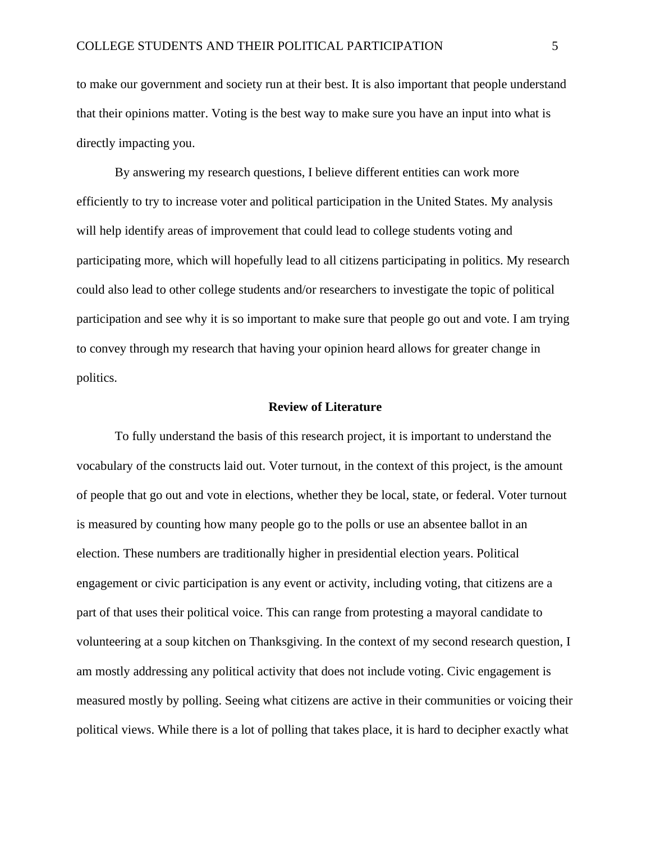to make our government and society run at their best. It is also important that people understand that their opinions matter. Voting is the best way to make sure you have an input into what is directly impacting you.

By answering my research questions, I believe different entities can work more efficiently to try to increase voter and political participation in the United States. My analysis will help identify areas of improvement that could lead to college students voting and participating more, which will hopefully lead to all citizens participating in politics. My research could also lead to other college students and/or researchers to investigate the topic of political participation and see why it is so important to make sure that people go out and vote. I am trying to convey through my research that having your opinion heard allows for greater change in politics.

#### **Review of Literature**

To fully understand the basis of this research project, it is important to understand the vocabulary of the constructs laid out. Voter turnout, in the context of this project, is the amount of people that go out and vote in elections, whether they be local, state, or federal. Voter turnout is measured by counting how many people go to the polls or use an absentee ballot in an election. These numbers are traditionally higher in presidential election years. Political engagement or civic participation is any event or activity, including voting, that citizens are a part of that uses their political voice. This can range from protesting a mayoral candidate to volunteering at a soup kitchen on Thanksgiving. In the context of my second research question, I am mostly addressing any political activity that does not include voting. Civic engagement is measured mostly by polling. Seeing what citizens are active in their communities or voicing their political views. While there is a lot of polling that takes place, it is hard to decipher exactly what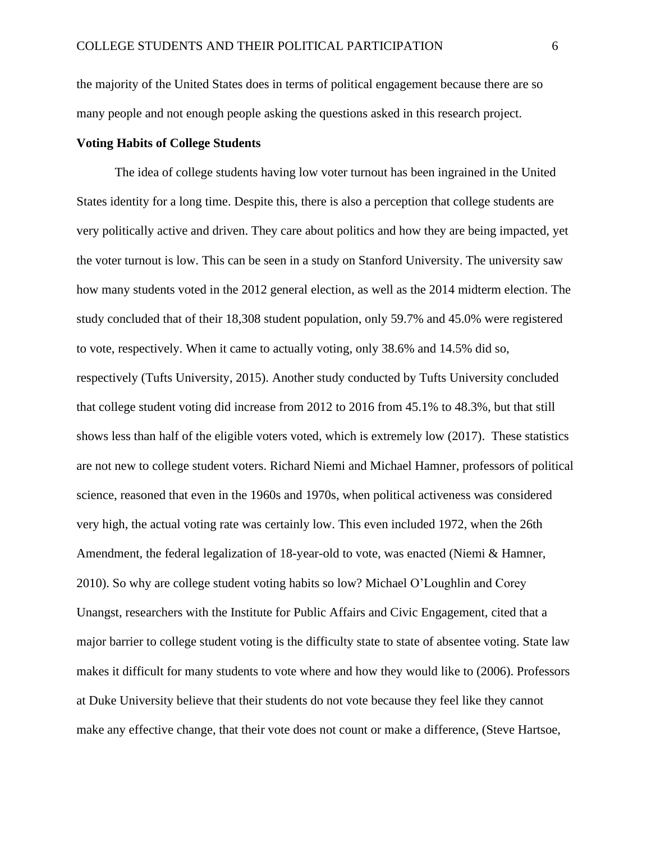the majority of the United States does in terms of political engagement because there are so many people and not enough people asking the questions asked in this research project.

## **Voting Habits of College Students**

The idea of college students having low voter turnout has been ingrained in the United States identity for a long time. Despite this, there is also a perception that college students are very politically active and driven. They care about politics and how they are being impacted, yet the voter turnout is low. This can be seen in a study on Stanford University. The university saw how many students voted in the 2012 general election, as well as the 2014 midterm election. The study concluded that of their 18,308 student population, only 59.7% and 45.0% were registered to vote, respectively. When it came to actually voting, only 38.6% and 14.5% did so, respectively (Tufts University, 2015). Another study conducted by Tufts University concluded that college student voting did increase from 2012 to 2016 from 45.1% to 48.3%, but that still shows less than half of the eligible voters voted, which is extremely low (2017). These statistics are not new to college student voters. Richard Niemi and Michael Hamner, professors of political science, reasoned that even in the 1960s and 1970s, when political activeness was considered very high, the actual voting rate was certainly low. This even included 1972, when the 26th Amendment, the federal legalization of 18-year-old to vote, was enacted (Niemi & Hamner, 2010). So why are college student voting habits so low? Michael O'Loughlin and Corey Unangst, researchers with the Institute for Public Affairs and Civic Engagement, cited that a major barrier to college student voting is the difficulty state to state of absentee voting. State law makes it difficult for many students to vote where and how they would like to (2006). Professors at Duke University believe that their students do not vote because they feel like they cannot make any effective change, that their vote does not count or make a difference, (Steve Hartsoe,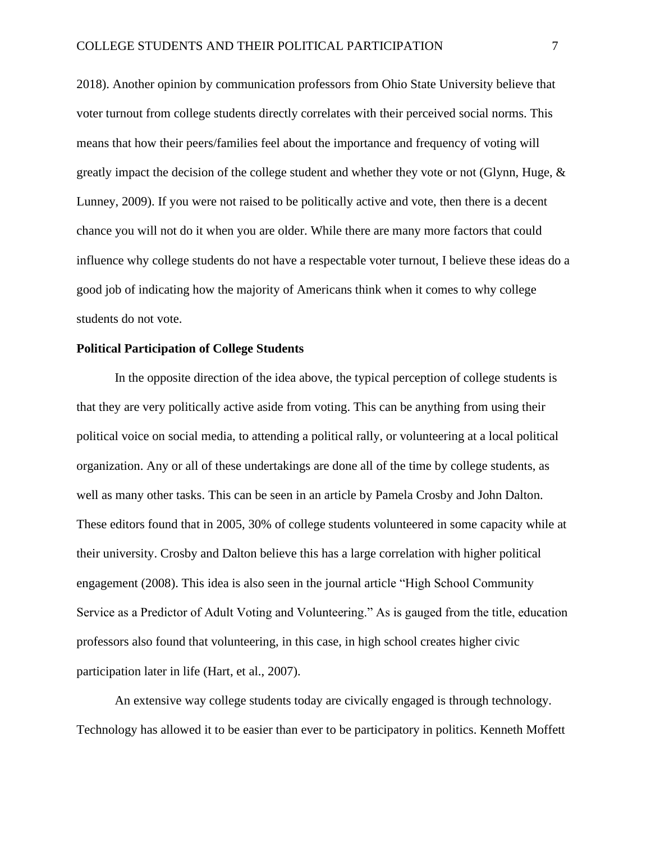2018). Another opinion by communication professors from Ohio State University believe that voter turnout from college students directly correlates with their perceived social norms. This means that how their peers/families feel about the importance and frequency of voting will greatly impact the decision of the college student and whether they vote or not (Glynn, Huge, & Lunney, 2009). If you were not raised to be politically active and vote, then there is a decent chance you will not do it when you are older. While there are many more factors that could influence why college students do not have a respectable voter turnout, I believe these ideas do a good job of indicating how the majority of Americans think when it comes to why college students do not vote.

### **Political Participation of College Students**

In the opposite direction of the idea above, the typical perception of college students is that they are very politically active aside from voting. This can be anything from using their political voice on social media, to attending a political rally, or volunteering at a local political organization. Any or all of these undertakings are done all of the time by college students, as well as many other tasks. This can be seen in an article by Pamela Crosby and John Dalton. These editors found that in 2005, 30% of college students volunteered in some capacity while at their university. Crosby and Dalton believe this has a large correlation with higher political engagement (2008). This idea is also seen in the journal article "High School Community Service as a Predictor of Adult Voting and Volunteering." As is gauged from the title, education professors also found that volunteering, in this case, in high school creates higher civic participation later in life (Hart, et al., 2007).

An extensive way college students today are civically engaged is through technology. Technology has allowed it to be easier than ever to be participatory in politics. Kenneth Moffett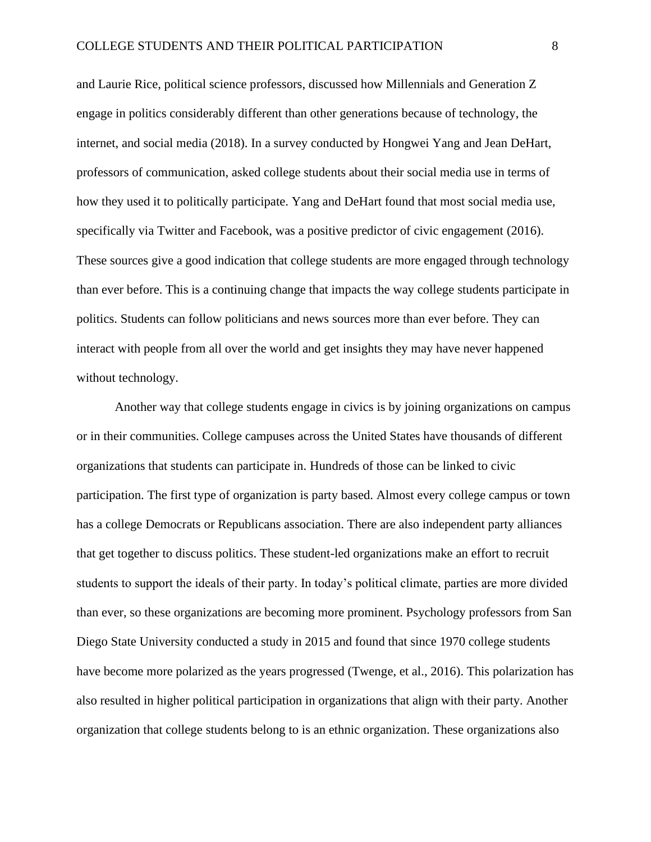and Laurie Rice, political science professors, discussed how Millennials and Generation Z engage in politics considerably different than other generations because of technology, the internet, and social media (2018). In a survey conducted by Hongwei Yang and Jean DeHart, professors of communication, asked college students about their social media use in terms of how they used it to politically participate. Yang and DeHart found that most social media use, specifically via Twitter and Facebook, was a positive predictor of civic engagement (2016). These sources give a good indication that college students are more engaged through technology than ever before. This is a continuing change that impacts the way college students participate in politics. Students can follow politicians and news sources more than ever before. They can interact with people from all over the world and get insights they may have never happened without technology.

Another way that college students engage in civics is by joining organizations on campus or in their communities. College campuses across the United States have thousands of different organizations that students can participate in. Hundreds of those can be linked to civic participation. The first type of organization is party based. Almost every college campus or town has a college Democrats or Republicans association. There are also independent party alliances that get together to discuss politics. These student-led organizations make an effort to recruit students to support the ideals of their party. In today's political climate, parties are more divided than ever, so these organizations are becoming more prominent. Psychology professors from San Diego State University conducted a study in 2015 and found that since 1970 college students have become more polarized as the years progressed (Twenge, et al., 2016). This polarization has also resulted in higher political participation in organizations that align with their party. Another organization that college students belong to is an ethnic organization. These organizations also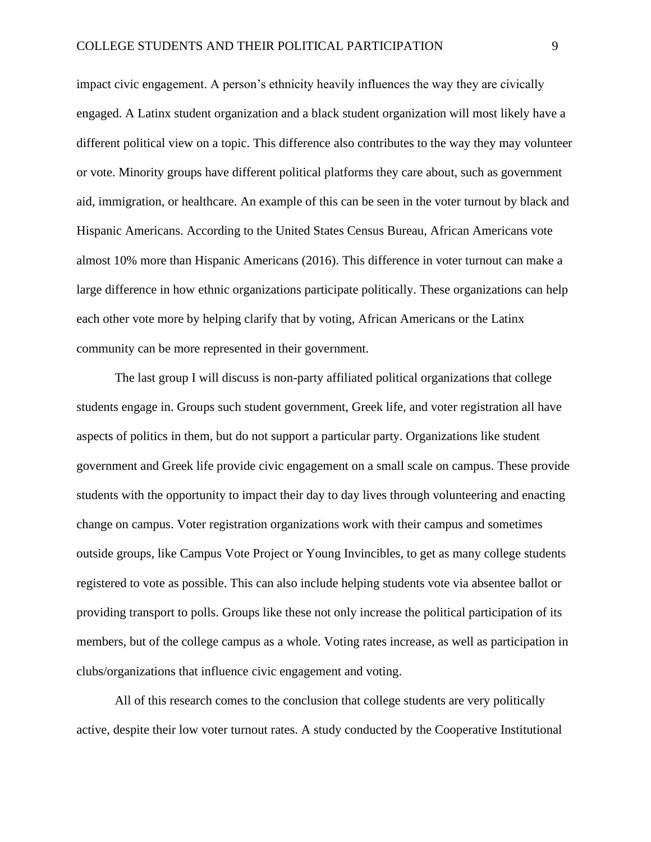impact civic engagement. A person's ethnicity heavily influences the way they are civically engaged. A Latinx student organization and a black student organization will most likely have a different political view on a topic. This difference also contributes to the way they may volunteer or vote. Minority groups have different political platforms they care about, such as government aid, immigration, or healthcare. An example of this can be seen in the voter turnout by black and Hispanic Americans. According to the United States Census Bureau, African Americans vote almost 10% more than Hispanic Americans (2016). This difference in voter turnout can make a large difference in how ethnic organizations participate politically. These organizations can help each other vote more by helping clarify that by voting, African Americans or the Latinx community can be more represented in their government.

The last group I will discuss is non-party affiliated political organizations that college students engage in. Groups such student government, Greek life, and voter registration all have aspects of politics in them, but do not support a particular party. Organizations like student government and Greek life provide civic engagement on a small scale on campus. These provide students with the opportunity to impact their day to day lives through volunteering and enacting change on campus. Voter registration organizations work with their campus and sometimes outside groups, like Campus Vote Project or Young Invincibles, to get as many college students registered to vote as possible. This can also include helping students vote via absentee ballot or providing transport to polls. Groups like these not only increase the political participation of its members, but of the college campus as a whole. Voting rates increase, as well as participation in clubs/organizations that influence civic engagement and voting.

All of this research comes to the conclusion that college students are very politically active, despite their low voter turnout rates. A study conducted by the Cooperative Institutional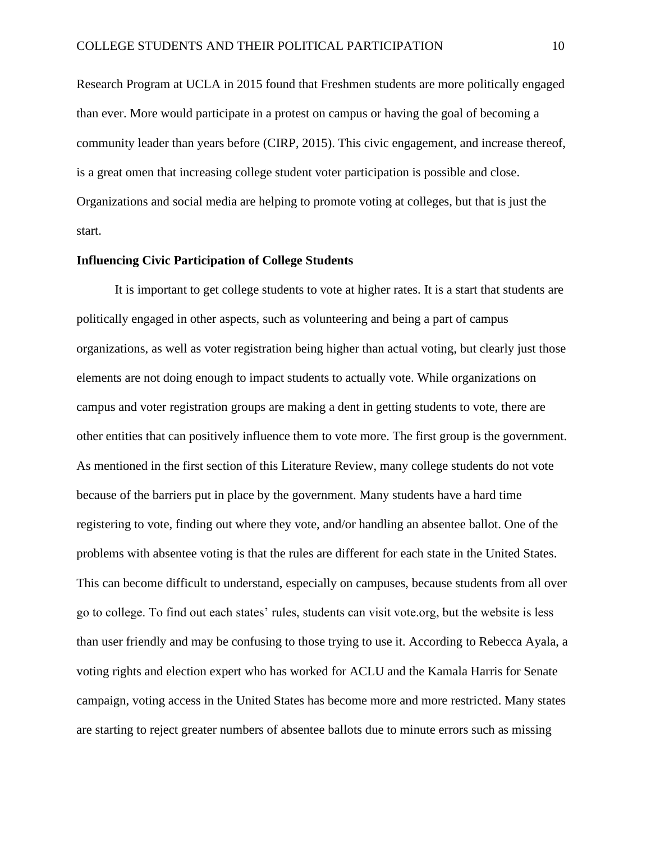Research Program at UCLA in 2015 found that Freshmen students are more politically engaged than ever. More would participate in a protest on campus or having the goal of becoming a community leader than years before (CIRP, 2015). This civic engagement, and increase thereof, is a great omen that increasing college student voter participation is possible and close. Organizations and social media are helping to promote voting at colleges, but that is just the start.

### **Influencing Civic Participation of College Students**

It is important to get college students to vote at higher rates. It is a start that students are politically engaged in other aspects, such as volunteering and being a part of campus organizations, as well as voter registration being higher than actual voting, but clearly just those elements are not doing enough to impact students to actually vote. While organizations on campus and voter registration groups are making a dent in getting students to vote, there are other entities that can positively influence them to vote more. The first group is the government. As mentioned in the first section of this Literature Review, many college students do not vote because of the barriers put in place by the government. Many students have a hard time registering to vote, finding out where they vote, and/or handling an absentee ballot. One of the problems with absentee voting is that the rules are different for each state in the United States. This can become difficult to understand, especially on campuses, because students from all over go to college. To find out each states' rules, students can visit vote.org, but the website is less than user friendly and may be confusing to those trying to use it. According to Rebecca Ayala, a voting rights and election expert who has worked for ACLU and the Kamala Harris for Senate campaign, voting access in the United States has become more and more restricted. Many states are starting to reject greater numbers of absentee ballots due to minute errors such as missing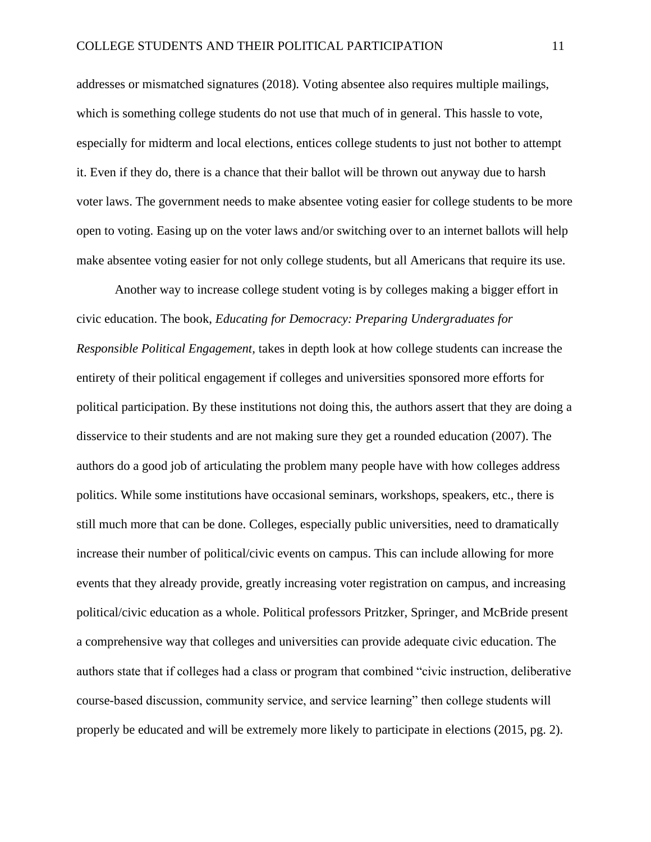addresses or mismatched signatures (2018). Voting absentee also requires multiple mailings, which is something college students do not use that much of in general. This hassle to vote, especially for midterm and local elections, entices college students to just not bother to attempt it. Even if they do, there is a chance that their ballot will be thrown out anyway due to harsh voter laws. The government needs to make absentee voting easier for college students to be more open to voting. Easing up on the voter laws and/or switching over to an internet ballots will help make absentee voting easier for not only college students, but all Americans that require its use.

Another way to increase college student voting is by colleges making a bigger effort in civic education. The book, *Educating for Democracy: Preparing Undergraduates for Responsible Political Engagement,* takes in depth look at how college students can increase the entirety of their political engagement if colleges and universities sponsored more efforts for political participation. By these institutions not doing this, the authors assert that they are doing a disservice to their students and are not making sure they get a rounded education (2007). The authors do a good job of articulating the problem many people have with how colleges address politics. While some institutions have occasional seminars, workshops, speakers, etc., there is still much more that can be done. Colleges, especially public universities, need to dramatically increase their number of political/civic events on campus. This can include allowing for more events that they already provide, greatly increasing voter registration on campus, and increasing political/civic education as a whole. Political professors Pritzker, Springer, and McBride present a comprehensive way that colleges and universities can provide adequate civic education. The authors state that if colleges had a class or program that combined "civic instruction, deliberative course-based discussion, community service, and service learning" then college students will properly be educated and will be extremely more likely to participate in elections (2015, pg. 2).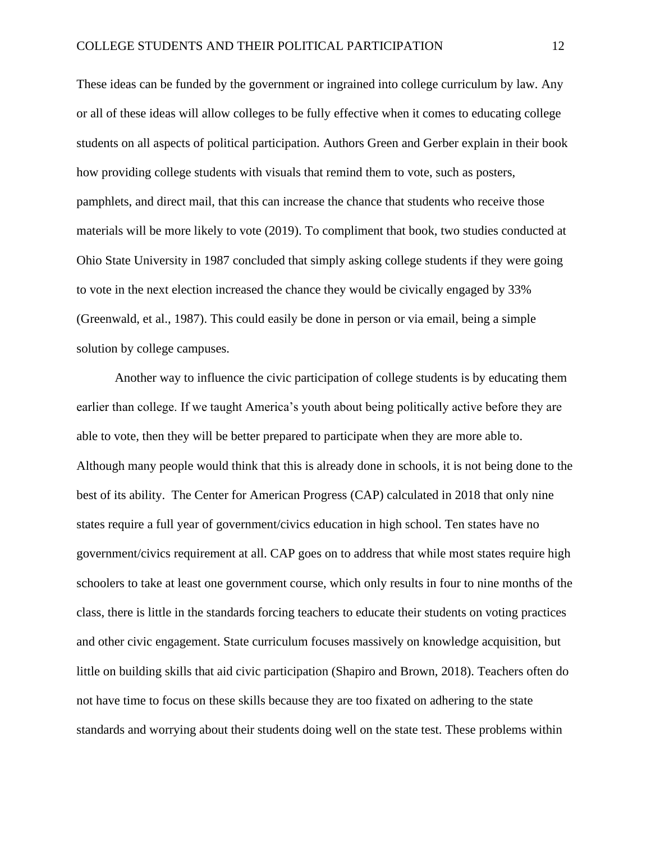These ideas can be funded by the government or ingrained into college curriculum by law. Any or all of these ideas will allow colleges to be fully effective when it comes to educating college students on all aspects of political participation. Authors Green and Gerber explain in their book how providing college students with visuals that remind them to vote, such as posters, pamphlets, and direct mail, that this can increase the chance that students who receive those materials will be more likely to vote (2019). To compliment that book, two studies conducted at Ohio State University in 1987 concluded that simply asking college students if they were going to vote in the next election increased the chance they would be civically engaged by 33% (Greenwald, et al., 1987). This could easily be done in person or via email, being a simple solution by college campuses.

Another way to influence the civic participation of college students is by educating them earlier than college. If we taught America's youth about being politically active before they are able to vote, then they will be better prepared to participate when they are more able to. Although many people would think that this is already done in schools, it is not being done to the best of its ability. The Center for American Progress (CAP) calculated in 2018 that only nine states require a full year of government/civics education in high school. Ten states have no government/civics requirement at all. CAP goes on to address that while most states require high schoolers to take at least one government course, which only results in four to nine months of the class, there is little in the standards forcing teachers to educate their students on voting practices and other civic engagement. State curriculum focuses massively on knowledge acquisition, but little on building skills that aid civic participation (Shapiro and Brown, 2018). Teachers often do not have time to focus on these skills because they are too fixated on adhering to the state standards and worrying about their students doing well on the state test. These problems within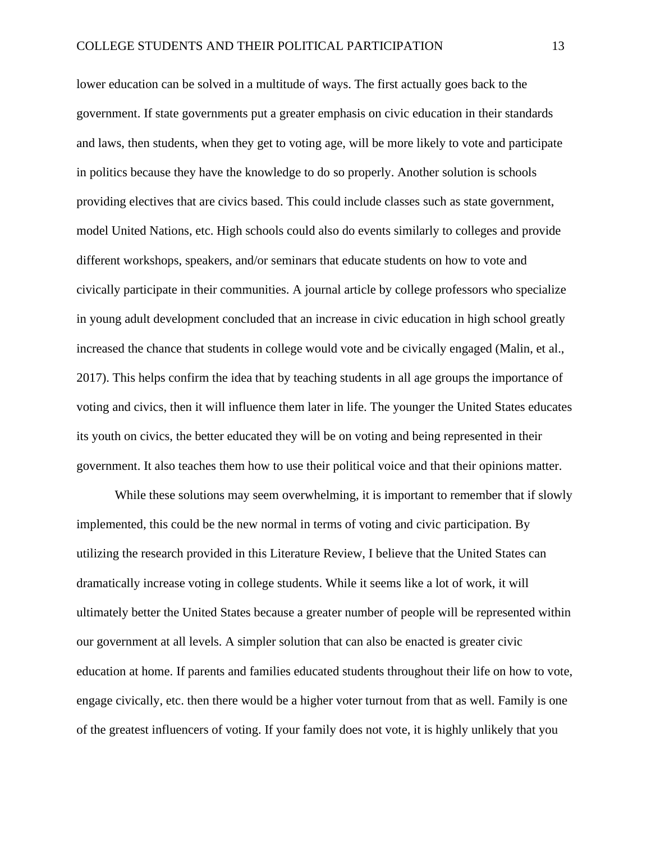lower education can be solved in a multitude of ways. The first actually goes back to the government. If state governments put a greater emphasis on civic education in their standards and laws, then students, when they get to voting age, will be more likely to vote and participate in politics because they have the knowledge to do so properly. Another solution is schools providing electives that are civics based. This could include classes such as state government, model United Nations, etc. High schools could also do events similarly to colleges and provide different workshops, speakers, and/or seminars that educate students on how to vote and civically participate in their communities. A journal article by college professors who specialize in young adult development concluded that an increase in civic education in high school greatly increased the chance that students in college would vote and be civically engaged (Malin, et al., 2017). This helps confirm the idea that by teaching students in all age groups the importance of voting and civics, then it will influence them later in life. The younger the United States educates its youth on civics, the better educated they will be on voting and being represented in their government. It also teaches them how to use their political voice and that their opinions matter.

While these solutions may seem overwhelming, it is important to remember that if slowly implemented, this could be the new normal in terms of voting and civic participation. By utilizing the research provided in this Literature Review, I believe that the United States can dramatically increase voting in college students. While it seems like a lot of work, it will ultimately better the United States because a greater number of people will be represented within our government at all levels. A simpler solution that can also be enacted is greater civic education at home. If parents and families educated students throughout their life on how to vote, engage civically, etc. then there would be a higher voter turnout from that as well. Family is one of the greatest influencers of voting. If your family does not vote, it is highly unlikely that you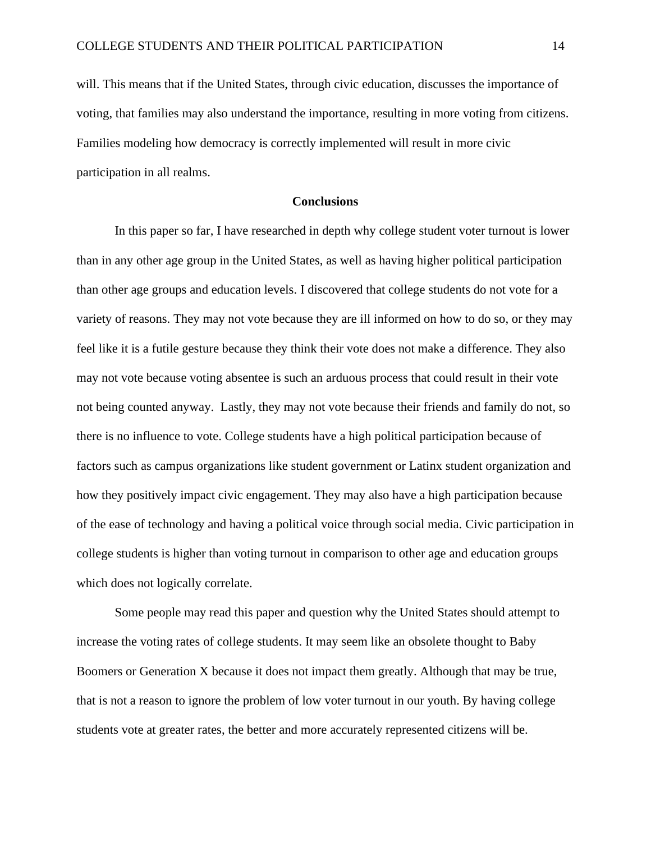will. This means that if the United States, through civic education, discusses the importance of voting, that families may also understand the importance, resulting in more voting from citizens. Families modeling how democracy is correctly implemented will result in more civic participation in all realms.

### **Conclusions**

In this paper so far, I have researched in depth why college student voter turnout is lower than in any other age group in the United States, as well as having higher political participation than other age groups and education levels. I discovered that college students do not vote for a variety of reasons. They may not vote because they are ill informed on how to do so, or they may feel like it is a futile gesture because they think their vote does not make a difference. They also may not vote because voting absentee is such an arduous process that could result in their vote not being counted anyway. Lastly, they may not vote because their friends and family do not, so there is no influence to vote. College students have a high political participation because of factors such as campus organizations like student government or Latinx student organization and how they positively impact civic engagement. They may also have a high participation because of the ease of technology and having a political voice through social media. Civic participation in college students is higher than voting turnout in comparison to other age and education groups which does not logically correlate.

Some people may read this paper and question why the United States should attempt to increase the voting rates of college students. It may seem like an obsolete thought to Baby Boomers or Generation X because it does not impact them greatly. Although that may be true, that is not a reason to ignore the problem of low voter turnout in our youth. By having college students vote at greater rates, the better and more accurately represented citizens will be.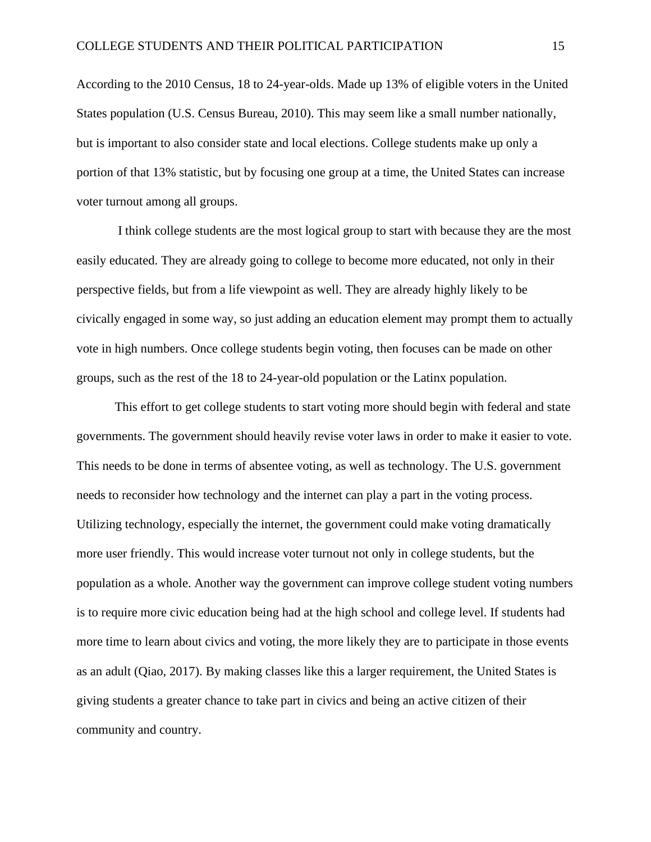According to the 2010 Census, 18 to 24-year-olds. Made up 13% of eligible voters in the United States population (U.S. Census Bureau, 2010). This may seem like a small number nationally, but is important to also consider state and local elections. College students make up only a portion of that 13% statistic, but by focusing one group at a time, the United States can increase voter turnout among all groups.

I think college students are the most logical group to start with because they are the most easily educated. They are already going to college to become more educated, not only in their perspective fields, but from a life viewpoint as well. They are already highly likely to be civically engaged in some way, so just adding an education element may prompt them to actually vote in high numbers. Once college students begin voting, then focuses can be made on other groups, such as the rest of the 18 to 24-year-old population or the Latinx population.

This effort to get college students to start voting more should begin with federal and state governments. The government should heavily revise voter laws in order to make it easier to vote. This needs to be done in terms of absentee voting, as well as technology. The U.S. government needs to reconsider how technology and the internet can play a part in the voting process. Utilizing technology, especially the internet, the government could make voting dramatically more user friendly. This would increase voter turnout not only in college students, but the population as a whole. Another way the government can improve college student voting numbers is to require more civic education being had at the high school and college level. If students had more time to learn about civics and voting, the more likely they are to participate in those events as an adult (Qiao, 2017). By making classes like this a larger requirement, the United States is giving students a greater chance to take part in civics and being an active citizen of their community and country.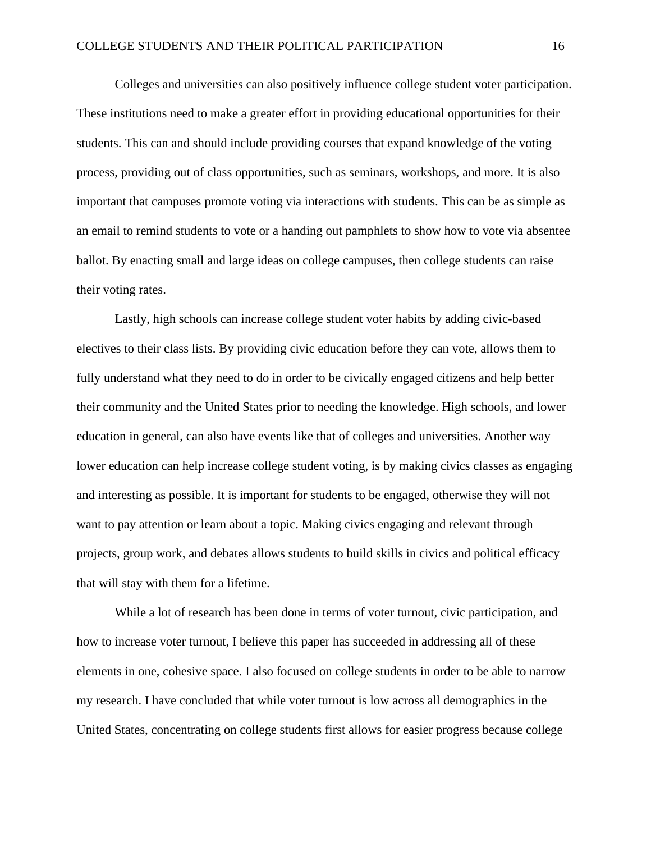Colleges and universities can also positively influence college student voter participation. These institutions need to make a greater effort in providing educational opportunities for their students. This can and should include providing courses that expand knowledge of the voting process, providing out of class opportunities, such as seminars, workshops, and more. It is also important that campuses promote voting via interactions with students. This can be as simple as an email to remind students to vote or a handing out pamphlets to show how to vote via absentee ballot. By enacting small and large ideas on college campuses, then college students can raise their voting rates.

Lastly, high schools can increase college student voter habits by adding civic-based electives to their class lists. By providing civic education before they can vote, allows them to fully understand what they need to do in order to be civically engaged citizens and help better their community and the United States prior to needing the knowledge. High schools, and lower education in general, can also have events like that of colleges and universities. Another way lower education can help increase college student voting, is by making civics classes as engaging and interesting as possible. It is important for students to be engaged, otherwise they will not want to pay attention or learn about a topic. Making civics engaging and relevant through projects, group work, and debates allows students to build skills in civics and political efficacy that will stay with them for a lifetime.

While a lot of research has been done in terms of voter turnout, civic participation, and how to increase voter turnout, I believe this paper has succeeded in addressing all of these elements in one, cohesive space. I also focused on college students in order to be able to narrow my research. I have concluded that while voter turnout is low across all demographics in the United States, concentrating on college students first allows for easier progress because college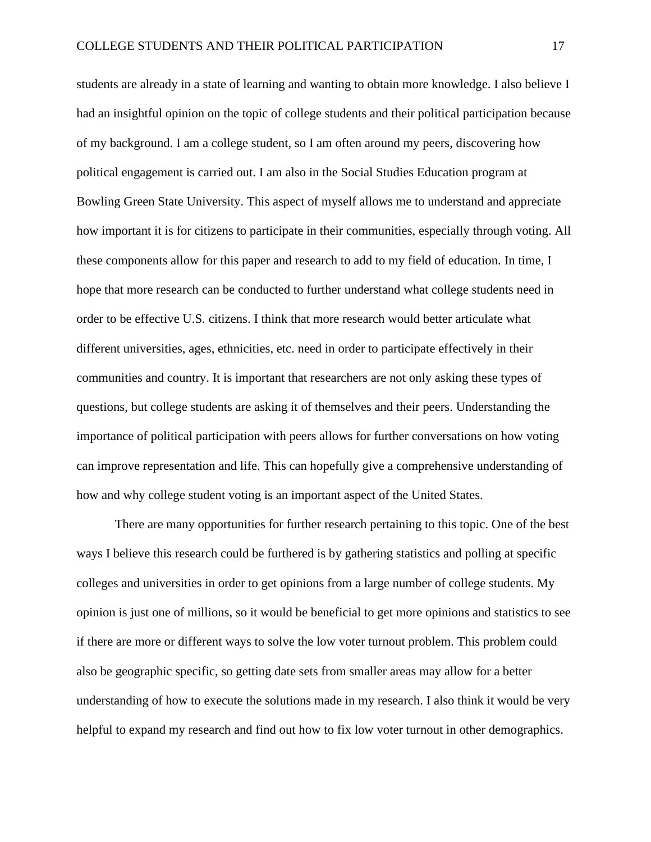students are already in a state of learning and wanting to obtain more knowledge. I also believe I had an insightful opinion on the topic of college students and their political participation because of my background. I am a college student, so I am often around my peers, discovering how political engagement is carried out. I am also in the Social Studies Education program at Bowling Green State University. This aspect of myself allows me to understand and appreciate how important it is for citizens to participate in their communities, especially through voting. All these components allow for this paper and research to add to my field of education. In time, I hope that more research can be conducted to further understand what college students need in order to be effective U.S. citizens. I think that more research would better articulate what different universities, ages, ethnicities, etc. need in order to participate effectively in their communities and country. It is important that researchers are not only asking these types of questions, but college students are asking it of themselves and their peers. Understanding the importance of political participation with peers allows for further conversations on how voting can improve representation and life. This can hopefully give a comprehensive understanding of how and why college student voting is an important aspect of the United States.

There are many opportunities for further research pertaining to this topic. One of the best ways I believe this research could be furthered is by gathering statistics and polling at specific colleges and universities in order to get opinions from a large number of college students. My opinion is just one of millions, so it would be beneficial to get more opinions and statistics to see if there are more or different ways to solve the low voter turnout problem. This problem could also be geographic specific, so getting date sets from smaller areas may allow for a better understanding of how to execute the solutions made in my research. I also think it would be very helpful to expand my research and find out how to fix low voter turnout in other demographics.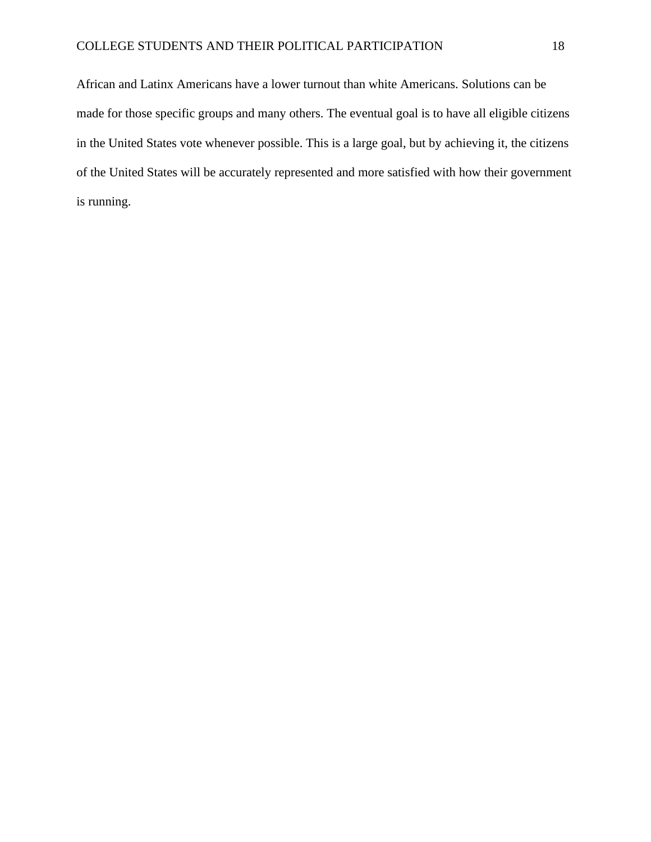African and Latinx Americans have a lower turnout than white Americans. Solutions can be made for those specific groups and many others. The eventual goal is to have all eligible citizens in the United States vote whenever possible. This is a large goal, but by achieving it, the citizens of the United States will be accurately represented and more satisfied with how their government is running.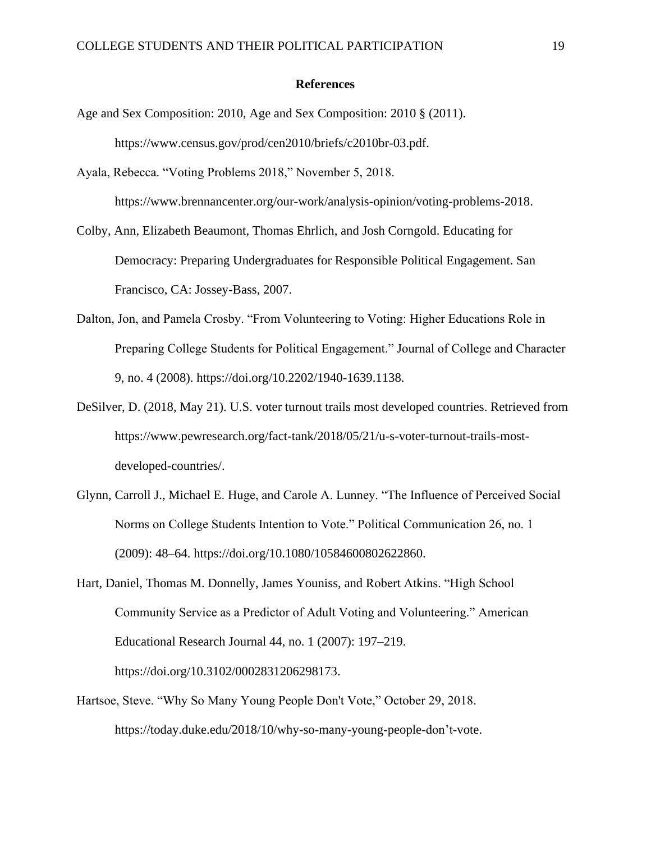#### **References**

- Age and Sex Composition: 2010, Age and Sex Composition: 2010 § (2011). https://www.census.gov/prod/cen2010/briefs/c2010br-03.pdf.
- Ayala, Rebecca. "Voting Problems 2018," November 5, 2018. https://www.brennancenter.org/our-work/analysis-opinion/voting-problems-2018.
- Colby, Ann, Elizabeth Beaumont, Thomas Ehrlich, and Josh Corngold. Educating for Democracy: Preparing Undergraduates for Responsible Political Engagement. San Francisco, CA: Jossey-Bass, 2007.
- Dalton, Jon, and Pamela Crosby. "From Volunteering to Voting: Higher Educations Role in Preparing College Students for Political Engagement." Journal of College and Character 9, no. 4 (2008). [https://doi.org/10.2202/1940-1639.1138.](https://doi.org/10.2202/1940-1639.1138)
- DeSilver, D. (2018, May 21). U.S. voter turnout trails most developed countries. Retrieved from https://www.pewresearch.org/fact-tank/2018/05/21/u-s-voter-turnout-trails-mostdeveloped-countries/.
- Glynn, Carroll J., Michael E. Huge, and Carole A. Lunney. "The Influence of Perceived Social Norms on College Students Intention to Vote." Political Communication 26, no. 1 (2009): 48–64. https://doi.org/10.1080/10584600802622860.
- Hart, Daniel, Thomas M. Donnelly, James Youniss, and Robert Atkins. "High School Community Service as a Predictor of Adult Voting and Volunteering." American Educational Research Journal 44, no. 1 (2007): 197–219. https://doi.org/10.3102/0002831206298173.
- Hartsoe, Steve. "Why So Many Young People Don't Vote," October 29, 2018. https://today.duke.edu/2018/10/why-so-many-young-people-don't-vote.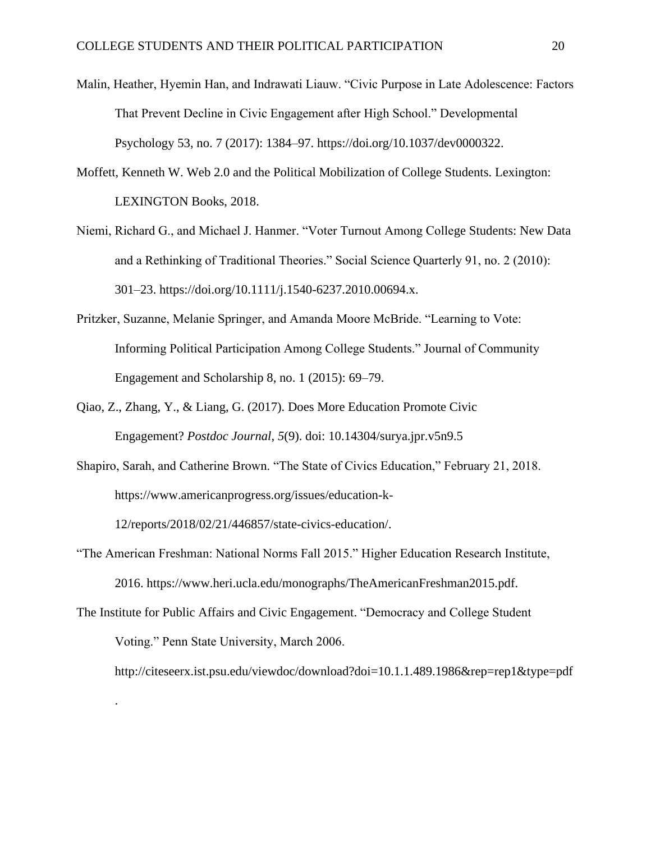- Malin, Heather, Hyemin Han, and Indrawati Liauw. "Civic Purpose in Late Adolescence: Factors That Prevent Decline in Civic Engagement after High School." Developmental Psychology 53, no. 7 (2017): 1384–97. https://doi.org/10.1037/dev0000322.
- Moffett, Kenneth W. Web 2.0 and the Political Mobilization of College Students. Lexington: LEXINGTON Books, 2018.
- Niemi, Richard G., and Michael J. Hanmer. "Voter Turnout Among College Students: New Data and a Rethinking of Traditional Theories." Social Science Quarterly 91, no. 2 (2010): 301–23. https://doi.org/10.1111/j.1540-6237.2010.00694.x.
- Pritzker, Suzanne, Melanie Springer, and Amanda Moore McBride. "Learning to Vote: Informing Political Participation Among College Students." Journal of Community Engagement and Scholarship 8, no. 1 (2015): 69–79.
- Qiao, Z., Zhang, Y., & Liang, G. (2017). Does More Education Promote Civic Engagement? *Postdoc Journal*, *5*(9). doi: 10.14304/surya.jpr.v5n9.5
- Shapiro, Sarah, and Catherine Brown. "The State of Civics Education," February 21, 2018. https://www.americanprogress.org/issues/education-k-

12/reports/2018/02/21/446857/state-civics-education/.

.

- "The American Freshman: National Norms Fall 2015." Higher Education Research Institute, 2016. https://www.heri.ucla.edu/monographs/TheAmericanFreshman2015.pdf.
- The Institute for Public Affairs and Civic Engagement. "Democracy and College Student Voting." Penn State University, March 2006.

http://citeseerx.ist.psu.edu/viewdoc/download?doi=10.1.1.489.1986&rep=rep1&type=pdf